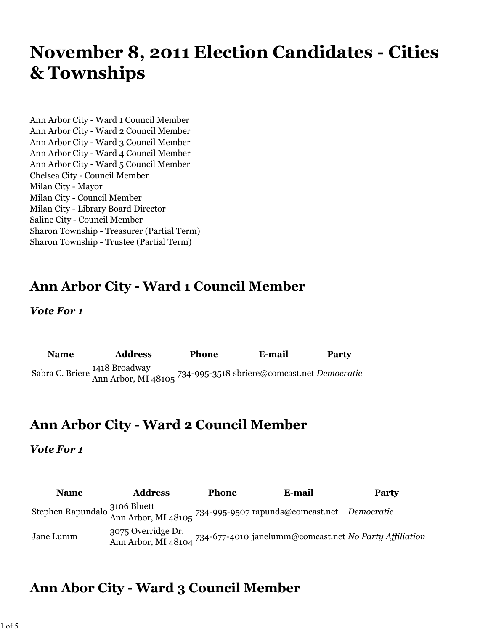# **November 8, 2011 Election Candidates - Cities & Townships**

Ann Arbor City - Ward 1 Council Member Ann Arbor City - Ward 2 Council Member Ann Arbor City - Ward 3 Council Member Ann Arbor City - Ward 4 Council Member Ann Arbor City - Ward 5 Council Member Chelsea City - Council Member Milan City - Mayor Milan City - Council Member Milan City - Library Board Director Saline City - Council Member Sharon Township - Treasurer (Partial Term) Sharon Township - Trustee (Partial Term)

# **Ann Arbor City - Ward 1 Council Member**

*Vote For 1*

| <b>Name</b> | <b>Address</b>                                                                                   | <b>Phone</b> | E-mail | Party |
|-------------|--------------------------------------------------------------------------------------------------|--------------|--------|-------|
|             | Sabra C. Briere 1418 Broadway<br>Ann Arbor, MI 48105 734-995-3518 sbriere@comcast.net Democratic |              |        |       |

### **Ann Arbor City - Ward 2 Council Member**

#### *Vote For 1*

| <b>Name</b> | <b>Address</b> | <b>Phone</b> | E-mail                                                                                                                  | <b>Party</b> |
|-------------|----------------|--------------|-------------------------------------------------------------------------------------------------------------------------|--------------|
|             |                |              | Stephen Rapundalo $\frac{3106 \text{ Bluett}}{\text{Ann Arbor, MI } 48105}$ 734-995-9507 rapunds@comcast.net Democratic |              |
| Jane Lumm   |                |              | יעס אוואראס אייט אייבאראייט (אייט אוואר 734-677-4010 janelumm@comcast.net <i>No Party Affiliation</i>                   |              |

# **Ann Abor City - Ward 3 Council Member**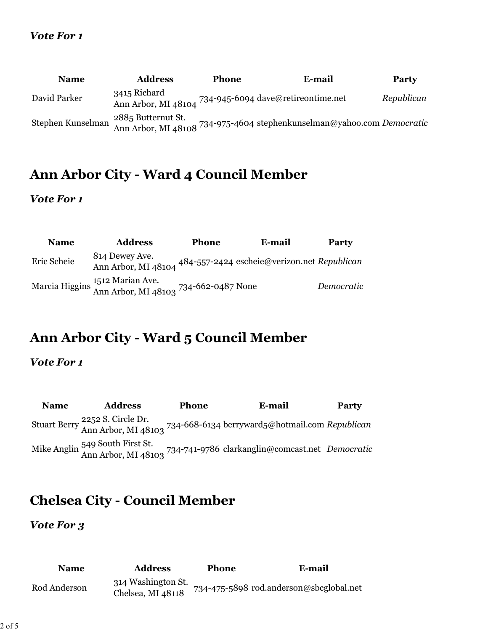### *Vote For 1*

| <b>Name</b>       | <b>Address</b>     | <b>Phone</b> | E-mail                                                                   | <b>Party</b> |
|-------------------|--------------------|--------------|--------------------------------------------------------------------------|--------------|
| David Parker      | 3415 Richard       |              | Ann Arbor, MI 48104 734-945-6094 dave@retireontime.net                   | Republican   |
| Stephen Kunselman | 2885 Butternut St. |              | n Ann Arbor, MI 48108 734-975-4604 stephenkunselman@yahoo.com Democratic |              |

# **Ann Arbor City - Ward 4 Council Member**

### *Vote For 1*

| <b>Name</b> | <b>Address</b>                                                                                 | Phone | E-mail                                      | <b>Party</b> |
|-------------|------------------------------------------------------------------------------------------------|-------|---------------------------------------------|--------------|
| Eric Scheie | 814 Dewey Ave.<br>Ann Arbor, MI 48104                                                          |       | 484-557-2424 escheie@verizon.net Republican |              |
|             | Marcia Higgins <sup>1512</sup> Marian Ave.<br>Ann Arbor, MI 48103 <sup>734-662-0487</sup> None |       |                                             | Democratic   |

# **Ann Arbor City - Ward 5 Council Member**

### *Vote For 1*

| <b>Name</b> | <b>Address</b> | <b>Phone</b> | E-mail                                                                                                             | <b>Party</b> |
|-------------|----------------|--------------|--------------------------------------------------------------------------------------------------------------------|--------------|
|             |                |              | Stuart Berry 2252 S. Circle Dr.<br>Stuart Berry Ann Arbor, MI 48103 734-668-6134 berryward5@hotmail.com Republican |              |
|             |                |              | Mike Anglin 549 South First St.<br>Ann Arbor, MI 48103 734-741-9786 clarkanglin@comcast.net Democratic             |              |

# **Chelsea City - Council Member**

### *Vote For 3*

| <b>Name</b>  | <b>Address</b>                          | <b>Phone</b> | E-mail                                  |
|--------------|-----------------------------------------|--------------|-----------------------------------------|
| Rod Anderson | 314 Washington St.<br>Chelsea, MI 48118 |              | 734-475-5898 rod.anderson@sbcglobal.net |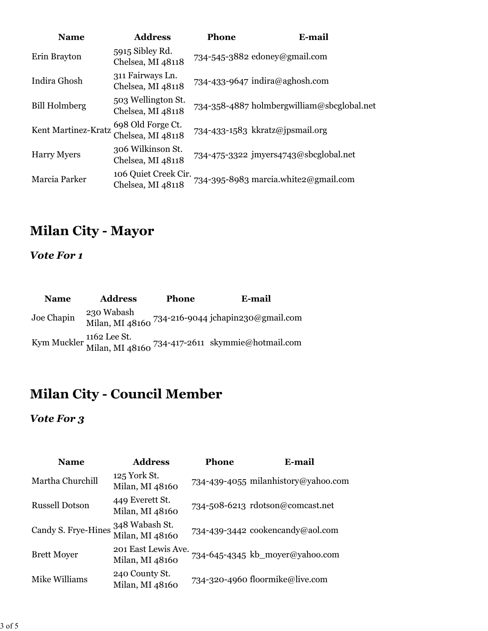| <b>Name</b>          | <b>Address</b>                            | Phone | E-mail                                     |
|----------------------|-------------------------------------------|-------|--------------------------------------------|
| Erin Brayton         | 5915 Sibley Rd.<br>Chelsea, MI 48118      |       | 734-545-3882 edoney@gmail.com              |
| Indira Ghosh         | 311 Fairways Ln.<br>Chelsea, MI 48118     |       | 734-433-9647 indira@aghosh.com             |
| <b>Bill Holmberg</b> | 503 Wellington St.<br>Chelsea, MI 48118   |       | 734-358-4887 holmbergwilliam@sbcglobal.net |
| Kent Martinez-Kratz  | 698 Old Forge Ct.<br>Chelsea, MI 48118    |       | 734-433-1583 kkratz@jpsmail.org            |
| <b>Harry Myers</b>   | 306 Wilkinson St.<br>Chelsea, MI 48118    |       | 734-475-3322 jmyers4743@sbcglobal.net      |
| Marcia Parker        | 106 Quiet Creek Cir.<br>Chelsea, MI 48118 |       | 734-395-8983 marcia.white2@gmail.com       |

# **Milan City - Mayor**

*Vote For 1*

| <b>Name</b> | <b>Address</b> | Phone | E-mail                                                                       |
|-------------|----------------|-------|------------------------------------------------------------------------------|
| Joe Chapin  | 230 Wabash     |       | Milan, MI 48160 734-216-9044 jchapin230@gmail.com                            |
|             |                |       | Kym Muckler 1162 Lee St.<br>Milan, MI 48160 734-417-2611 skymmie@hotmail.com |

# **Milan City - Council Member**

### *Vote For 3*

| <b>Name</b>           | <b>Address</b>                         | Phone | <b>E-mail</b>                       |
|-----------------------|----------------------------------------|-------|-------------------------------------|
| Martha Churchill      | 125 York St.<br>Milan, MI 48160        |       | 734-439-4055 milanhistory@yahoo.com |
| <b>Russell Dotson</b> | 449 Everett St.<br>Milan, MI 48160     |       | 734-508-6213 rdotson@comcast.net    |
| Candy S. Frye-Hines   | 348 Wabash St.<br>Milan, MI 48160      |       | 734-439-3442 cookencandy@aol.com    |
| <b>Brett Moyer</b>    | 201 East Lewis Ave.<br>Milan, MI 48160 |       | 734-645-4345 kb_moyer@yahoo.com     |
| Mike Williams         | 240 County St.<br>Milan, MI 48160      |       | 734-320-4960 floormike@live.com     |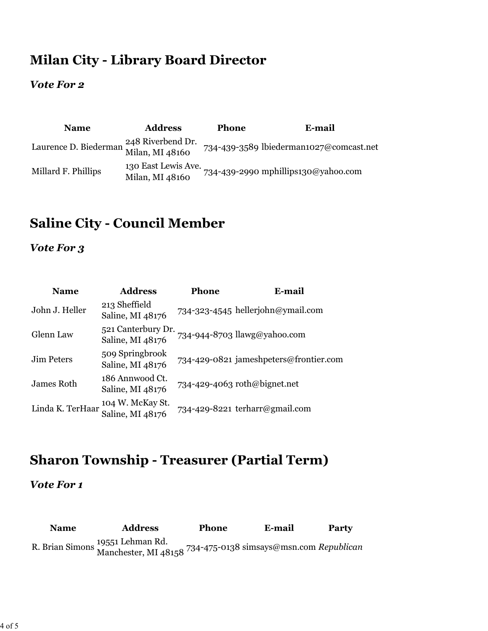## **Milan City - Library Board Director**

### *Vote For 2*

| <b>Name</b>                           | <b>Address</b>                         | <b>Phone</b> | E-mail                                  |
|---------------------------------------|----------------------------------------|--------------|-----------------------------------------|
| Laurence D. Biederman Milan, MI 48160 | 248 Riverbend Dr.                      |              | 734-439-3589 lbiederman1027@comcast.net |
| Millard F. Phillips                   | 130 East Lewis Ave.<br>Milan, MI 48160 |              | 734-439-2990 mphillips130@yahoo.com     |

## **Saline City - Council Member**

### *Vote For 3*

| <b>Name</b>       | <b>Address</b>                         | <b>Phone</b> | E-mail                                 |
|-------------------|----------------------------------------|--------------|----------------------------------------|
| John J. Heller    | 213 Sheffield<br>Saline, MI 48176      |              | 734-323-4545 hellerjohn@ymail.com      |
| Glenn Law         | 521 Canterbury Dr.<br>Saline, MI 48176 |              | 734-944-8703 llawg@yahoo.com           |
| <b>Jim Peters</b> | 509 Springbrook<br>Saline, MI 48176    |              | 734-429-0821 jameshpeters@frontier.com |
| James Roth        | 186 Annwood Ct.<br>Saline, MI 48176    |              | 734-429-4063 roth@bignet.net           |
| Linda K. TerHaar  | 104 W. McKay St.<br>Saline, MI 48176   |              | 734-429-8221 terharr@gmail.com         |

## **Sharon Township - Treasurer (Partial Term)**

#### *Vote For 1*

**Name Address Phone E-mail Party** R. Brian Simons 19551 Lehman Rd. Manchester, MI 48158 734-475-0138 simsays@msn.com *Republican*